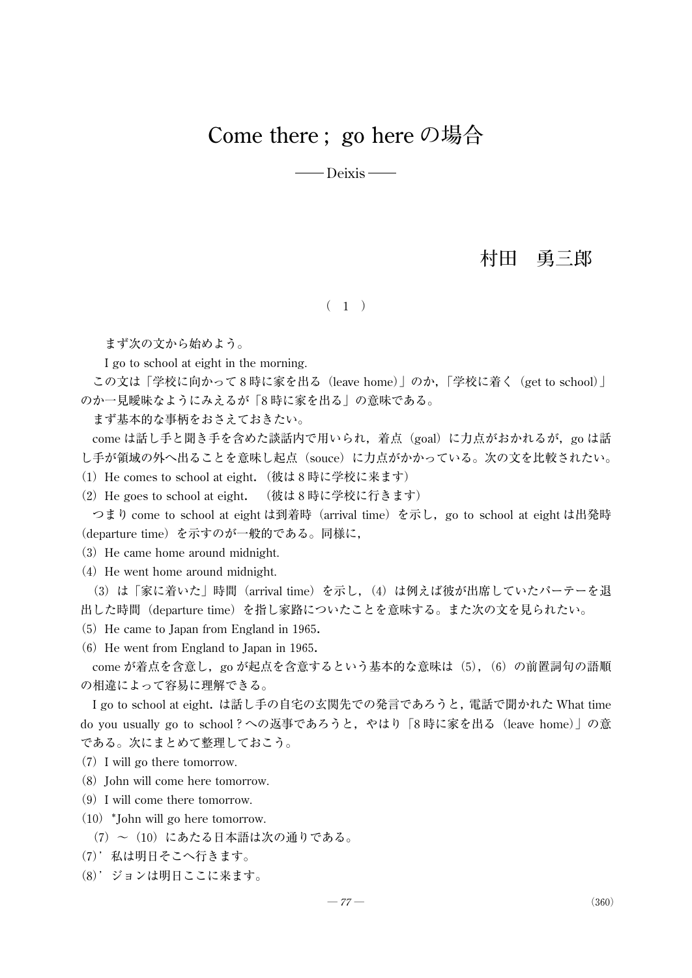# **Come there ; go here の場合**

— Deixis —

## **村田 勇三郎**

### $(1)$

まず次の文から始めよう。

I go to school at eight in the morning.

この文は「学校に向かって8時に家を出る(leave home)」のか,「学校に着く(get to school)」 のか一見曖昧なようにみえるが「8時に家を出る」の意味である。

まず基本的な事柄をおさえておきたい。

come は話し手と聞き手を含めた談話内で用いられ,着点 (goal)に力点がおかれるが, go は話 し手が領域の外へ出ることを意味し起点(souce)に力点がかかっている。次の文を比較されたい。

(1) He comes to school at eight. (彼は8時に学校に来ます)

(2)He goes to school at eight. (彼は8時に学校に行きます)

つまり come to school at eight は到着時 (arrival time) を示し, go to school at eight は出発時 (departure time)を示すのが一般的である。同様に,

(3) He came home around midnight.

 $(4)$  He went home around midnight.

(3)は「家に着いた」時間(arrival time)を示し,(4)は例えば彼が出席していたパーテーを退 出した時間(departure time)を指し家路についたことを意味する。また次の文を見られたい。

- $(5)$  He came to Japan from England in 1965.
- $(6)$  He went from England to Japan in 1965.

come が着点を含意し, go が起点を含意するという基本的な意味は(5), (6) の前置詞句の語順 の相違によって容易に理解できる。

I go to school at eight. は話し手の自宅の玄関先での発言であろうと, 電話で聞かれた What time do you usually go to school?への返事であろうと,やはり「8時に家を出る(leave home)」の意 である。次にまとめて整理しておこう。

- (7)I will go there tomorrow.
- $(8)$  John will come here tomorrow.
- (9)I will come there tomorrow.
- $(10)$  \*John will go here tomorrow.
	- (7)~(10)にあたる日本語は次の通りである。
- (7)'私は明日そこへ行きます。
- (8)'ジョンは明日ここに来ます。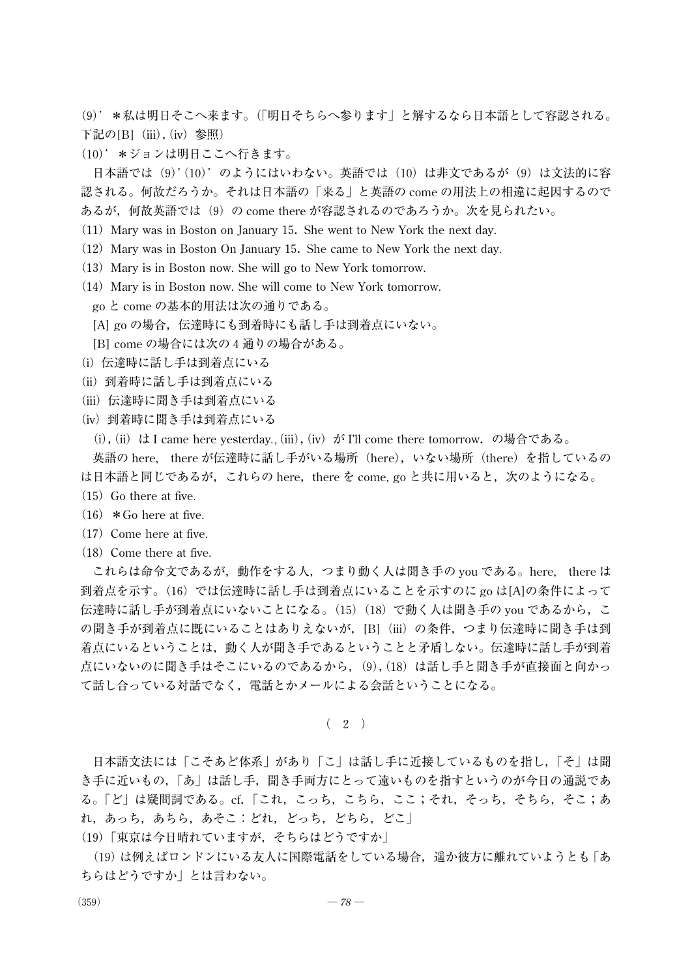(9)'\*私は明日そこへ来ます。(「明日そちらへ参ります」と解するなら日本語として容認される。 下記の[B] (iii), (iv) 参照)

(10)' \*ジョンは明日ここへ行きます。

日本語では(9)'(10)'のようにはいわない。英語では(10)は非文であるが(9)は文法的に容 認される。何故だろうか。それは日本語の「来る」と英語の come の用法上の相違に起因するので あるが,何故英語では(9)の come there が容認されるのであろうか。次を見られたい。

- (11)Mary was in Boston on January15.She went to New York the next day.
- (12) Mary was in Boston On January 15. She came to New York the next day.
- (13) Mary is in Boston now. She will go to New York tomorrow.
- (14) Mary is in Boston now. She will come to New York tomorrow. go と come の基本的用法は次の通りである。
	- [A] go の場合, 伝達時にも到着時にも話し手は到着点にいない。
	- [B] come の場合には次の4通りの場合がある。
- (i) 伝達時に話し手は到着点にいる
- (ii)到着時に話し手は到着点にいる
- (iii) 伝達時に聞き手は到着点にいる
- (iv)到着時に聞き手は到着点にいる
	- (i),(ii)は I came here yesterday*.,*(iii),(iv)が I'll come there tomorrow.の場合である。

英語の here, there が伝達時に話し手がいる場所(here), いない場所(there)を指しているの は日本語と同じであるが,これらの here, there を come, go と共に用いると, 次のようになる。

- $(15)$  Go there at five.
- $(16)$  \* Go here at five.
- $(17)$  Come here at five.
- $(18)$  Come there at five.

これらは命令文であるが,動作をする人,つまり動く人は聞き手の you である。here, there は 到着点を示す。(16)では伝達時に話し手は到着点にいることを示すのに go は[A]の条件によって 伝達時に話し手が到着点にいないことになる。(15)(18)で動く人は聞き手の you であるから,こ の聞き手が到着点に既にいることはありえないが, [B](iii) の条件, つまり伝達時に聞き手は到 着点にいるということは,動く人が聞き手であるということと矛盾しない。伝達時に話し手が到着 点にいないのに聞き手はそこにいるのであるから, (9),(18)は話し手と聞き手が直接面と向かっ て話し合っている対話でなく,電話とかメールによる会話ということになる。

 $(2)$ 

日本語文法には「こそあど体系」があり「こ」は話し手に近接しているものを指し,「そ」は聞 き手に近いもの,「あ」は話し手,聞き手両方にとって遠いものを指すというのが今日の通説であ る。「ど」は疑問詞である。cf.「これ,こっち,こちら,ここ;それ,そっち,そちら,そこ;あ れ,あっち,あちら,あそこ:どれ,どっち,どちら,どこ」

(19)「東京は今日晴れていますが,そちらはどうですか」

(19)は例えばロンドンにいる友人に国際電話をしている場合,遥か彼方に離れていようとも「あ ちらはどうですか」とは言わない。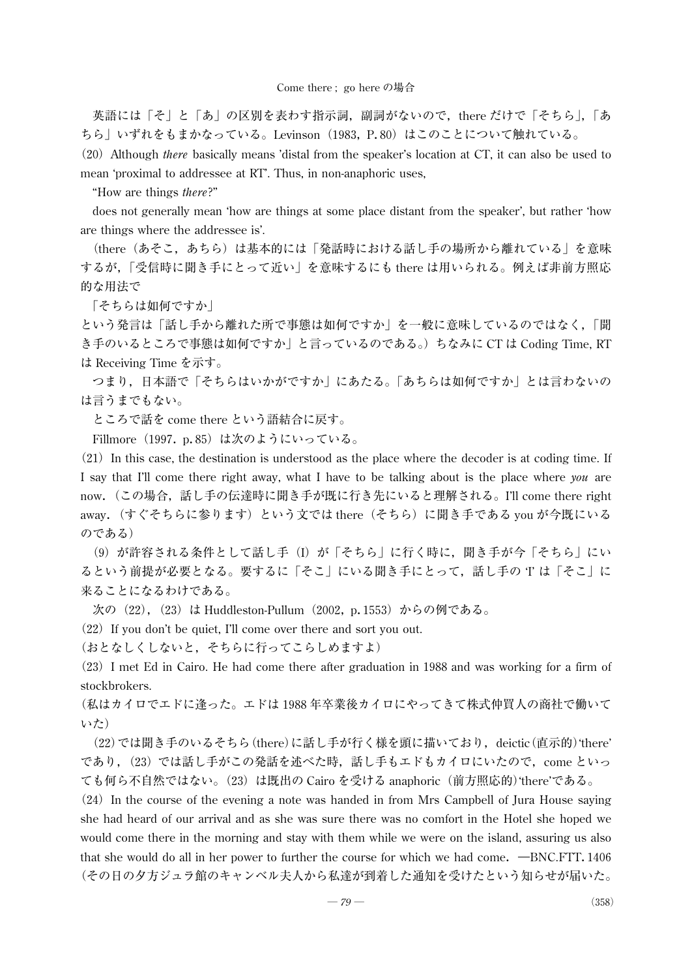英語には「そ」と「あ」の区別を表わす指示詞,副詞がないので,there だけで「そちら」,「あ ちら」いずれをもまかなっている。Levinson(1983, P.80)はこのことについて触れている。

(20)Although *there* basically means 'distal from the speaker's location at CT, it can also be used to mean 'proximal to addressee at RT'. Thus, in non-anaphoric uses,

"How are things *there*?"

does not generally mean 'how are things at some place distant from the speaker', but rather 'how are things where the addressee is'.

(there(あそこ,あちら)は基本的には「発話時における話し手の場所から離れている」を意味 するが,「受信時に聞き手にとって近い」を意味するにも there は用いられる。例えば非前方照応 的な用法で

「そちらは如何ですか」

という発言は「話し手から離れた所で事態は如何ですか」を一般に意味しているのではなく,「聞 き手のいるところで事態は如何ですか」と言っているのである。)ちなみに CT は Coding Time, RT は Receiving Time を示す。

つまり,日本語で「そちらはいかがですか」にあたる。「あちらは如何ですか」とは言わないの は言うまでもない。

ところで話を come there という語結合に戻す。

Fillmore(1997.p.85)は次のようにいっている。

 $(21)$  In this case, the destination is understood as the place where the decoder is at coding time. If I say that I'll come there right away, what I have to be talking about is the place where *you* are now.(この場合,話し手の伝達時に聞き手が既に行き先にいると理解される。I'll come there right away. (すぐそちらに参ります)という文では there(そちら)に聞き手である you が今既にいる のである)

(9) が許容される条件として話し手(I)が「そちら」に行く時に, 聞き手が今「そちら」にい るという前提が必要となる。要するに「そこ」にいる聞き手にとって,話し手の 'I' は「そこ」に 来ることになるわけである。

次の (22), (23) は Huddleston-Pullum (2002, p.1553) からの例である。

 $(22)$  If you don't be quiet, I'll come over there and sort you out.

(おとなしくしないと,そちらに行ってこらしめますよ)

(23)I met Ed in Cairo. He had come there after graduation in1988and was working for a firm of stockbrokers.

(私はカイロでエドに逢った。エドは1988年卒業後カイロにやってきて株式仲買人の商社で働いて いた)

(22)では聞き手のいるそちら(there)に話し手が行く様を頭に描いており,deictic(直示的)'there' であり, (23) では話し手がこの発話を述べた時, 話し手もエドもカイロにいたので, come といっ ても何ら不自然ではない。(23)は既出の Cairo を受ける anaphoric(前方照応的)'there'である。

(24) In the course of the evening a note was handed in from Mrs Campbell of Jura House saying she had heard of our arrival and as she was sure there was no comfort in the Hotel she hoped we would come there in the morning and stay with them while we were on the island, assuring us also that she would do all in her power to further the course for which we had come.  $-BNC.FTT.1406$ (その日の夕方ジュラ館のキャンベル夫人から私達が到着した通知を受けたという知らせが届いた。

 $-79$  — (358)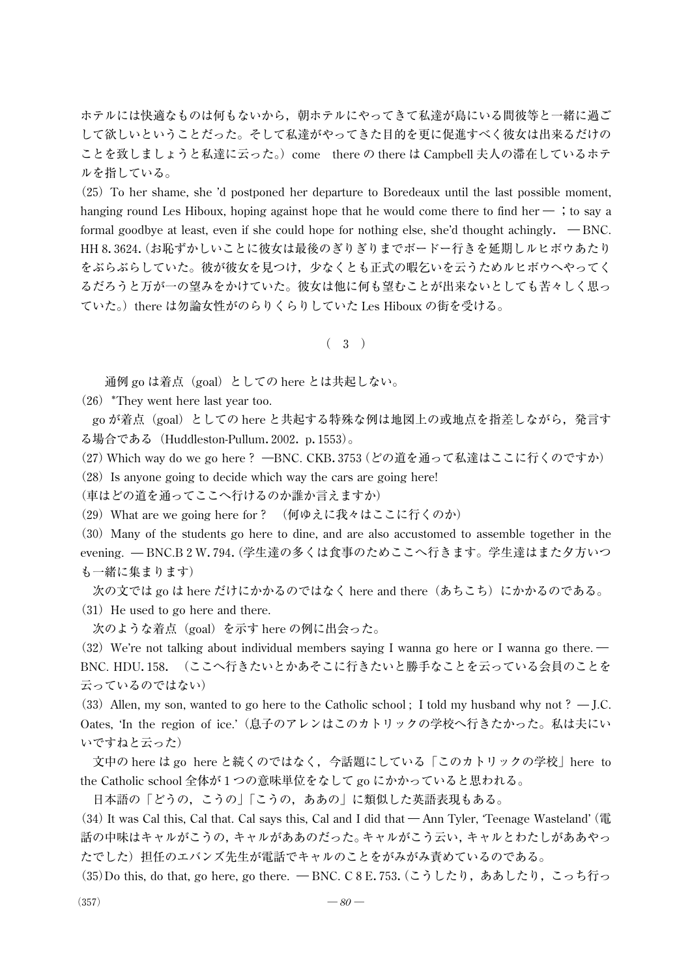ホテルには快適なものは何もないから,朝ホテルにやってきて私達が島にいる間彼等と一緒に過ご して欲しいということだった。そして私達がやってきた目的を更に促進すべく彼女は出来るだけの ことを致しましょうと私達に云った。)come there の there は Campbell 夫人の滞在しているホテ ルを指している。

(25)To her shame, she 'd postponed her departure to Boredeaux until the last possible moment, hanging round Les Hiboux, hoping against hope that he would come there to find her  $-$ ; to say a formal goodbye at least, even if she could hope for nothing else, she'd thought achingly.  $-BNC$ . HH8.3624.(お恥ずかしいことに彼女は最後のぎりぎりまでボードー行きを延期しルヒボウあたり をぶらぶらしていた。彼が彼女を見つけ,少なくとも正式の暇乞いを云うためルヒボウへやってく るだろうと万が一の望みをかけていた。彼女は他に何も望むことが出来ないとしても苦々しく思っ ていた。)there は勿論女性がのらりくらりしていた Les Hiboux の街を受ける。

(3)

通例 go は着点(goal)としての here とは共起しない。

 $(26)$  \*They went here last year too.

go が着点(goal)としての here と共起する特殊な例は地図上の或地点を指差しながら,発言す る場合である (Huddleston-Pullum. 2002. p. 1553)。

(27) Which way do we go here ? -BNC. CKB.3753 (どの道を通って私達はここに行くのですか)

 $(28)$  Is anyone going to decide which way the cars are going here!

(車はどの道を通ってここへ行けるのか誰か言えますか)

(29)What are we going here for? (何ゆえに我々はここに行くのか)

(30)Many of the students go here to dine, and are also accustomed to assemble together in the evening. - BNC.B2W.794. (学生達の多くは食事のためここへ行きます。学生達はまた夕方いつ も一緒に集まります)

次の文では go は here だけにかかるのではなく here and there(あちこち)にかかるのである。  $(31)$  He used to go here and there.

次のような着点(goal)を示す here の例に出会った。

 $(32)$  We're not talking about individual members saying I wanna go here or I wanna go there. BNC. HDU.158.(ここへ行きたいとかあそこに行きたいと勝手なことを云っている会員のことを 云っているのではない)

(33) Allen, my son, wanted to go here to the Catholic school; I told my husband why not?  $-J.C.$ Oates, 'In the region of ice.'(息子のアレンはこのカトリックの学校へ行きたかった。私は夫にい いですねと云った)

文中の here は go here と続くのではなく,今話題にしている「このカトリックの学校」here to the Catholic school 全体が1つの意味単位をなして go にかかっていると思われる。

日本語の「どうの,こうの」「こうの,ああの」に類似した英語表現もある。

 $(34)$  It was Cal this, Cal that. Cal says this, Cal and I did that  $-\text{Ann}$  Tyler, 'Teenage Wasteland' (電 話の中味はキャルがこうの,キャルがああのだった。キャルがこう云い,キャルとわたしがああやっ たでした)担任のエバンズ先生が電話でキャルのことをがみがみ責めているのである。

(35)Do this, do that, go here, go there. - BNC. C8E.753. (こうしたり,ああしたり, こっち行っ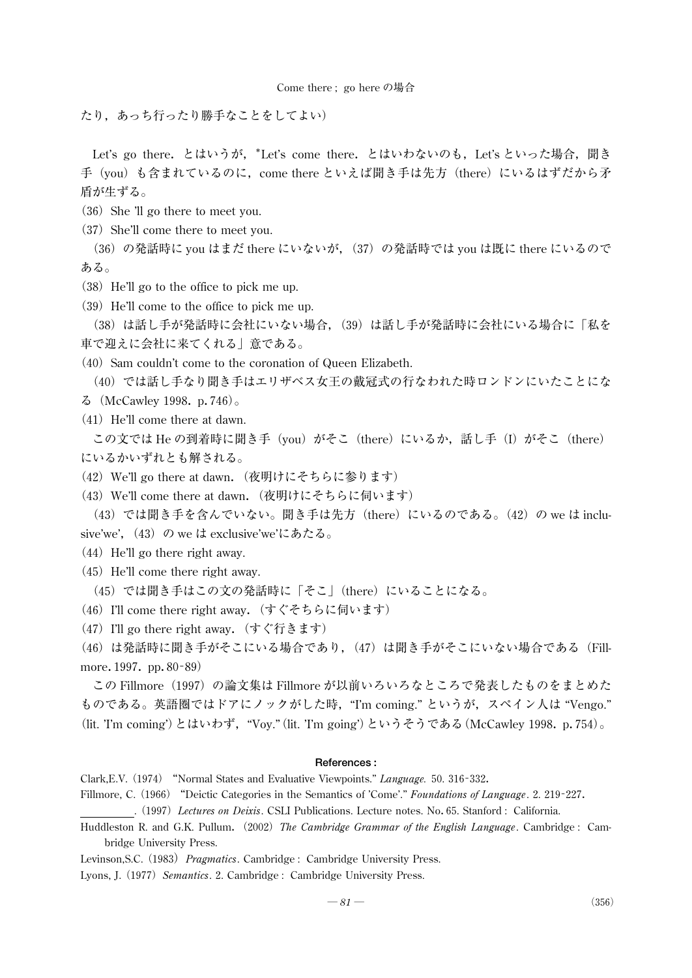たり,あっち行ったり勝手なことをしてよい)

Let's go there. とはいうが, \*Let's come there. とはいわないのも, Let's といった場合, 聞き 手(you)も含まれているのに, come there といえば聞き手は先方(there)にいるはずだから矛 盾が生ずる。

- $(36)$  She 'll go there to meet you.
- (37) She'll come there to meet you.

(36)の発話時に you はまだ there にいないが, (37)の発話時では you は既に there にいるので ある。

- (38)He'll go to the office to pick me up.
- (39) He'll come to the office to pick me up.

(38)は話し手が発話時に会社にいない場合, (39)は話し手が発話時に会社にいる場合に「私を 車で迎えに会社に来てくれる」意である。

 $(40)$  Sam couldn't come to the coronation of Queen Elizabeth.

(40) では話し手なり聞き手はエリザベス女王の戴冠式の行なわれた時ロンドンにいたことにな る(McCawley1998.p.746)。

 $(41)$  He'll come there at dawn.

この文では He の到着時に聞き手(you)がそこ(there)にいるか,話し手(I)がそこ(there) にいるかいずれとも解される。

- (42) We'll go there at dawn. (夜明けにそちらに参ります)
- (43) We'll come there at dawn. (夜明けにそちらに伺います)

(43) では聞き手を含んでいない。聞き手は先方 (there) にいるのである。(42) の we は inclusive'we', (43) の we は exclusive'we'にあたる。

- $(44)$  He'll go there right away.
- $(45)$  He'll come there right away.

(45)では聞き手はこの文の発話時に「そこ」(there)にいることになる。

- (46) I'll come there right away. (すぐそちらに伺います)
- (47) I'll go there right away. (すぐ行きます)

(46)は発話時に聞き手がそこにいる場合であり, (47)は聞き手がそこにいない場合である (Fillmore. 1997. pp. 80-89)

この Fillmore(1997)の論文集は Fillmore が以前いろいろなところで発表したものをまとめた ものである。英語圏ではドアにノックがした時,"I'm coming." というが,スペイン人は "Vengo." (lit. 'I'm coming')とはいわず,"Voy."(lit. 'I'm going')というそうである(McCawley1998.p.754)。

#### **References :**

- Clark,E.V.(1974) "Normal States and Evaluative Viewpoints." *Language.*50.316-332.
- Fillmore, C.(1966) "Deictic Categories in the Semantics of 'Come'." *Foundations of Language*.2.219-227.

.(1997)*Lectures on Deixis*. CSLI Publications. Lecture notes. No.65. Stanford : California.

- Huddleston R. and G.K. Pullum.(2002)*The Cambridge Grammar of the English Language*. Cambridge : Cambridge University Press.
- Levinson,S.C.(1983)*Pragmatics*. Cambridge : Cambridge University Press.

Lyons, J. (1977) Semantics. 2. Cambridge : Cambridge University Press.